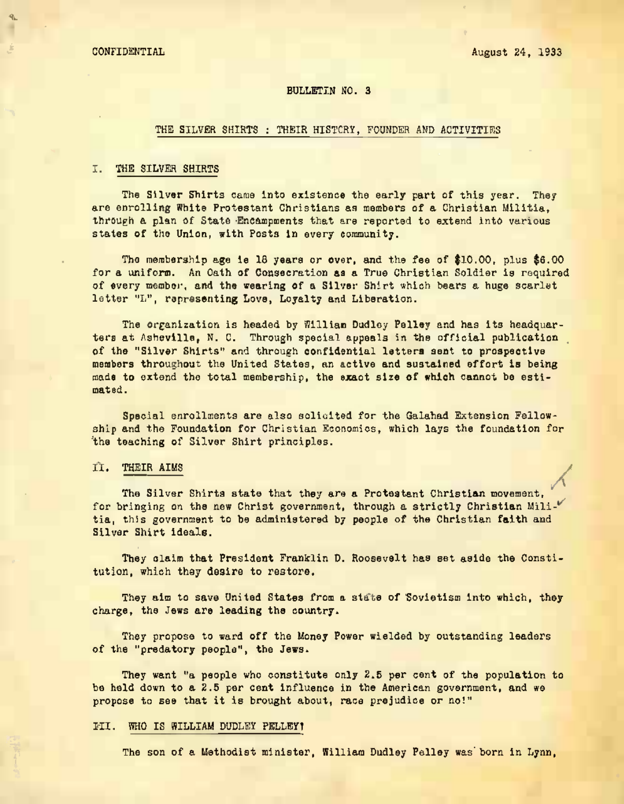## BULLETIN NO. 3

## THE SILVER SHIRTS : THEIR HISTCRY, FOUNDER AND ACTIVITIES

# I. THE SILVER SHIRTS

The Silver Shirts came into existence the early part of this vear. They are enrolling White Protestant Christians as members of a Christian Militia. through a plan of State Encampments that are reported to extend into various states of the Union, with Posts in every community.

The membership age is 18 years or over, and the fee of \$10.00, plus \$6.00 for a uniform. An Oath of Consecration as a True Christian Soldier is required of every member, and the wearing of a Silver Shirt which bears a huge scarlet letter "L", representing Love, Loyalty and Liberation.

The organization is headed by William Dudley Pelley and has its headquarters at Asheville, N. C. Through special appeals in the official publication of the "Silver Shirts" and through confidential letters sent to prospective made to extend the total membership, the exact size of which cannot be estimated.

Special enrollments are also solicited for the Galahad Extension Fellow-<br>ship and the Foundation for Christian Economics, which lays the foundation for the teaching of Silver Shirt principles.

#### II. THEIR AIMS

The Silver Shirts state that they are a Protestant Christian movement, for bringing on the new Christ government, through a strictly Christian Militia, this government to be administered by people of the Christian faith and Sliver Shirt ideals.

They olaim that President Franklin D. Roosevelt has set aside the Constitution, which thay desire to restore.

They aim to save United States from a state of Sovietism into which, they charge, the Jews are leading the country.

They propose to ward off the Honey Power wielded by outstanding leaders of the "predatory people", the Jews.

They want "a people who constitute only 2.5 per cent of the population to be held down to a 2.5 per cent influence in the American government, and we propose to see that it is brought about, race prejudice or no!"

## III. WHO IS WILLIAM DUDLEY PBLLBY1

The son of a Methodist minister, William Dudley Pelley was born in Lynn,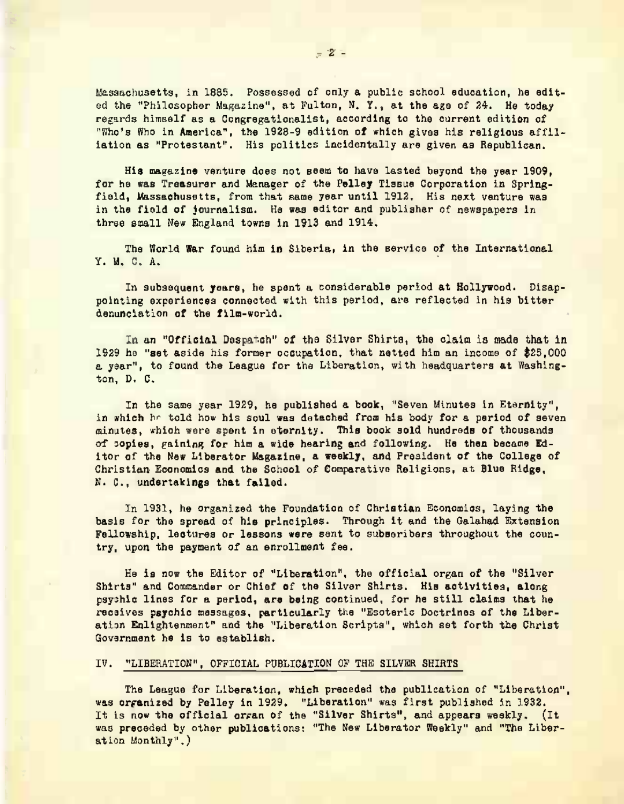"Who's Who in America", the issachusetts, in 1885. Possassed of only a public school education, he editi the "Philosopher Magazine", at Fulton, N. Y., at the age of 24. He today regards himself as a Congregationalist, according to the current edition of

His magazine venture does not seem to have lasted beyond the year 1909. for he was Treasurer and Manager of the Pelley Tissue Corporation in Springfield, Massachusetts, from that same year until 1912. His next venture was in the field of journalism. He was editor and publisher of newspapers in thrse small New England towns in 1913 and 1914.

The World War found him in Siberia, in the service of the International Y. U. C. A.

In subsequent years, he spent a considerable period at Hollywood. Disappointing experiences connected with this period, are reflected in his bitter denunciation of the film-world.

In an "Official Despatch" of tha Silver Shirta, the claim is made that in 1929 ha "set aside his former occupation, that netted him an income of \$25,000 a year", to found the League for the Liberation, with headquarters at Washington, D. C.

In the same year 1929, he published a book, "Seven Minutes in Eternity", in which hr told how his soul was detached from his body for a period of seven minutes, which were spent in eternity- This book sold hundreds of thousands of sopies, gaining for him a wide hearing and following. He then became Editor of the New Liberator Magazine, a weekly, and President of the College of Christian Economics and the School of Comparative Religions, at Blue Ridge, N. C., undertakings that failed.

In 1931, he organized the Foundation of Christian Economics, laying the basis for the spread of his principles. Through it and the Galahad Extension<br>Fellowship, lectures or lessons were sent to subscribers throughout the country, upon the payment of an enrollment fee.

He is now the Editor of "Liberation", the official organ of the "Silve Shirts" and Commander or Chief of the Silver Shirts. His activities, along psychic lines for a period, are being continued, for he still claims that he receives psychic messages, particularly the "Esoteric Doctrines of the Liberatian Enlightenment" and the "Liberation Scripts", which set forth the Christ Govsrnment he is to establish.

## IV. "LIBERATION", OFFICIAL PUBLICATION OP THE SILVER SHIRTS

The League for Liberation, which preceded the publication of "Liberation", was organized by Pelley in 1929. "Liberation" was first published in 1932. ation Monthly".) It is now the official organ of the "Silver Shirts", and appears weekly. (It was preceded by other publications: "The New Liberator Weekly" and "The Liber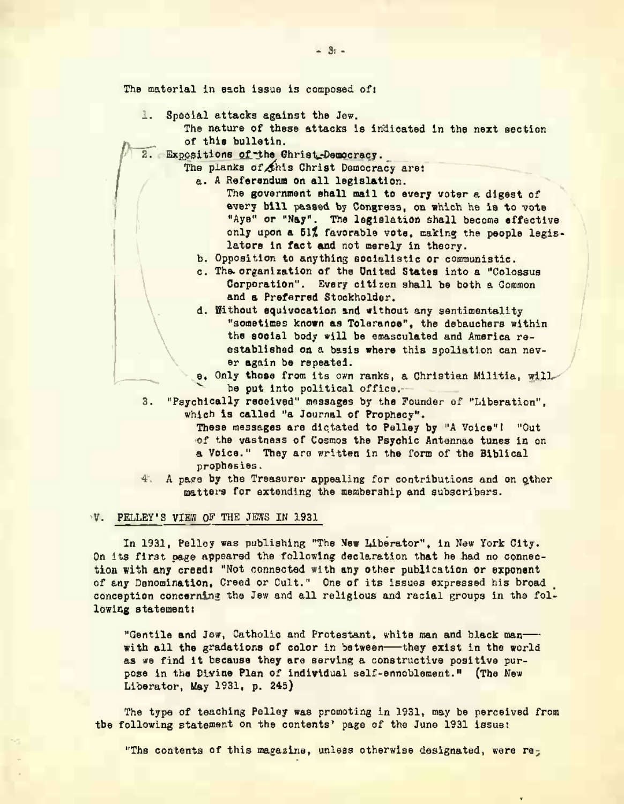The material in each issue is composed of:

- 1. Special attacks against the Jew.
	- The nature of these attacks is indicated in the next section of this bulletin.
- 2. Expositions of the Christ Democracy.<br>The planks of this Christ Democracy.

The planks of this Christ Democracy are:

- a. A Referendum on all legislation.
	- The government shall mail to every voter a digest of every bill passed by Congress, on which he is to vote "Aye" or "Nay". The legislation shall become effective only upon a 51% favorable vote, making the people legis-lators in fact and not merely in theory.
	- b. Opposition to anything socialistic or communistic.
	- c. The organization of the United States into a "Colossus and a Preferred Stockholder.<br>d. Without squivocation and without any sentimentality
	- "sometimes known as Tolerance", the debauohers within the social body will be emasculated and America reestablished on a basis where this spoliation can never again be repeated.
	- be out into political office. e. Only those from its own ranks, a Christian Militia, will
- which is called "a Journal of Prophecy". 3. "Pavchically received" messages by the Founder of "Liberation".
	- These massages are dictated to Pelley by "A Voice"! "Out of the vastness of Cosmos the Psychic Antennae tunes in on a Voice." They are written in the form of the Biblical prophesies.
- 4. A page by the Treasurer appealing for contributions and on other matters far extending the membership and subscribers.

#### V. PELLEY'S VIEW OF THE JEWS IN 1931

In 1931, Pelley was publishing "The New Liberator", in New York City.<br>On its first page appeared the following declaration that he had no connection with any creed: "Not connected with any other publication or exponent of any Denomination, Creed or Cult." One of its issues expressed his broad conception concerning the Jew and all religious and racial groups in the following statement:

"Gentile and Jew. Catholic and Protestant, white man and black manwith all the gradations of color in between-they exist in the world as we find it because they are serving a constructive positive purpose in the Divine Plan of individual salf-ennoblement." (The New Liberator, May 1931, p. 245)

The type of teaching Pelley was promoting in 1931, may be perceived from the following statement on the contents' page of the June 1931 issue:

"The contents of this magazine, unless otherwise designated,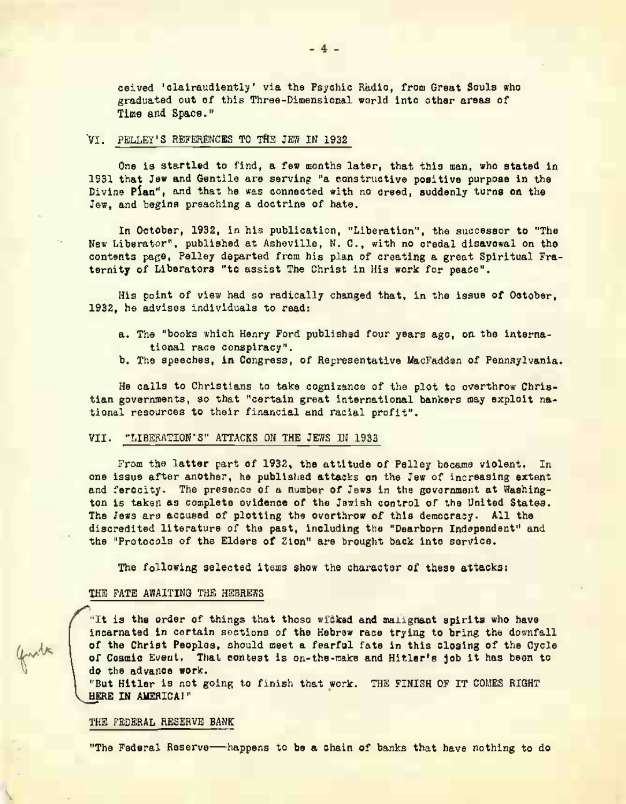caived 'clairaudiently' via the Psychic Radio, from Graat Souls who graduated out of this Three-Dimensional world into other areas of Time and Space."

# VI. PELLEY'S REFERENCES TO THE JEW IN 1932

One is startled to find, a few months later, that this man, who stated in 1931 that Jew and Gentile are serving "a constructive positive purpose in the Divine Plan", and that he was connected with no creed, suddenly turns on the Jew, and begins preaching a doctrine of hate.

In October, 1932, in his publication, "Liberation", the successor to "The New Liberator", published at Asheville, N. C., with no credal disavowal on the contents page. Pelley departed from his plan of creating a great Spiritual Fraternity of Liberators "to assist The Christ in His work for neace".

His point of view had so radically changed that, in the issue of Ostober, 1932, he advises individuals to read:

- a. The "books which Henry Ford published four years ago, on the international race conspiracy".
- b. The speeches, in Congress, of Representative MacFadden of Pennsylvania.

He calls to Christians to take cognizance of the plot to overthrow Christian governments, so that "certain great international bankers may exploit national resources to their financial and racial profit".

#### VII. "LIBERATION'S" ATTACKS ON THE JEWS IN 1933

From the latter part of 1932, the attitude of Pelley became violent. In one issue after another, he published attacks on the Jew of increasing extent and ferocity. The presence of a number of Jews in the government at Washington is taken as complete cyldence of the Jawish control of the United States. The Jews are accused of plotting the overthrow of this democracy. All the discredited literature of the past, including the "Dearborn Independent" and the "Protocols of the Elders of Zion" are brought back into service.

The following selected items show the character of these attacks:

#### THE FATE AWAITING THE HEBREWS

"It is the order of things that those witked and malignant spirits who have incarnated in certain sections of the Hebrew race trying to bring the downfall of the Christ Peoples, should meet a fearful fate in this closing of the Cycle of Cosmic Event. That contest is on-the-make and Hitler's job it has been to do the advance work.

"But Hitler is not going to finish that work. THE FINISH OF IT COMES RIGHT HERE IN AMERICA!"

## THE FEDERAL RESERVE BANK

"The Federal Reserve-happens to be a chain of banks that have nothing to do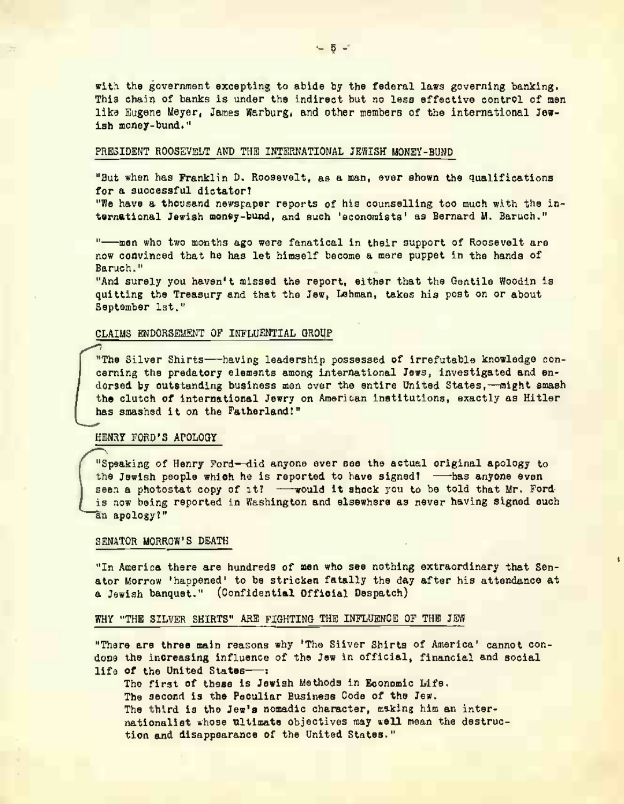with the government excepting to abide by the federal laws governing banking. This chain of banks is under the indirect but no less effective control of men like Eugene Meyer, James Warburg, and other members of the international Jewish money-bund."

## PRESIDENT ROOSEVELT AND THE INTERNATIONAL JEWISH MONEY-BUND

"But when has Franklin D. Roosevelt, as a man, ever shown the qualifications for a successful distatort

"We have a thousand newsgaper reports of his counselling too much with the international Jewish money-bund, and such 'sconomists' as Bernard M. Baruch."

"-wen who two months ago were fanatical in their support of Roosevelt are now convinced that he has let himself become a mere puppet in the hands of Baruch."

"And surely you haven't missed the report, either that the Gentile Woodin is quitting the Treasury and that the Jew. Lehman, takes his post on or about September 1st."

## CLAIMS ENDORSEMENT OF INFLUENTIAL GROUP

"The Silver Shirts-having leadership possessed of irrefutable knowledge concerning the predatory elements among international Jews, investigated and endorsed by outstanding business men over the entire United States,-might smash the clutch of international Jewry on American institutions, exactly as Hitler has smashed it on the Fatherland!"

# HENRY FORD'S APOLOGY

"Speaking of Henry Ford-did anyone ever see the actual original apology to the Jewish people which he is reported to have signed! - has anyone even seen a photostat copy of it? - would it shock you to be told that Mr. Fordis now being reported in Washington and elsewhere as never having signed such an apology?"

#### SENATOR MORROW'S DEATH

"In America there are hundreds of men who see nothing extraordinary that Senator Morrow 'happened' to be stricken fatally the day after his attendance at a Jewish banquet." (Confidential Official Despatch)

## WHY "THE SILVER SHIRTS" ARE FIGHTING THE INFLUENCE OF THE JEW

"There are three main reasons why 'The Siiver Shirts of America' cannot condone the increasing influence of the Jew in official, financial and social life of the United States-"

The first of these is Jewish Methods in Economic Life. The second is the Peculiar Business Code of the Jew. The third is the Jew's nomadic character, asking him an internationalist whose ultimate objectives may well mean the destruction and disappearance of the United States."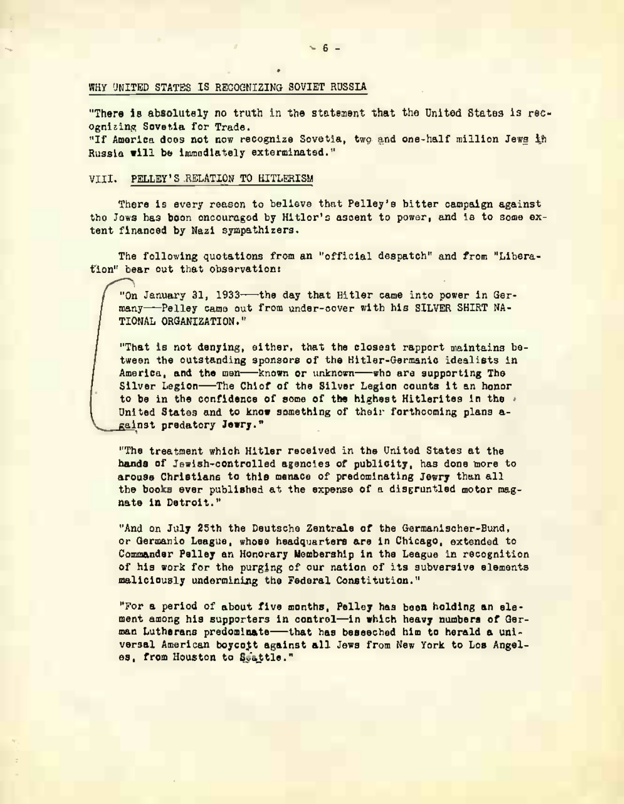# WHY UNITED STATES IS RECOGNIZING SOVIET RUSSIA

"There is absolutely no truth in the statement that the United States is rec-Ognizing Sovetia for Trade.

"If America does not now recognize Sovetia, two and one-half million Jews in Russia will be immediately exterminated."

## VIII. PELLEY'S RELATION TO HITLERISM

There is every reason to believe that Pelley's bitter campaign against the Jows has been encouraged by Hitler's assent to power, and is to some extent financed by Nazi sympathizers.

The following quotations from an "official despatch" and from "Liberafion" bear out that observation:

"On January 31, 1933-the day that Hitler came into power in Germany-Pelley came out from under-cover with his SILVER SHIRT NA-TTOMAL ORGANIZATION."

"That is not denying, either, that the closest rapport maintains between the outstanding sponsors of the Hitler-Germanic idealists in America, and the men-known or unknown-who are supporting The Silver Legion-The Chiof of the Silver Legion counts it an honor to be in the confidence of some of the highest Hitlerites in the . United States and to know something of their forthcoming plans against predatory Jewry."

"The treatment which Hitler received in the United States at the hands of Jawish-controlled agencies of publicity, has done more to arouse Christians to this menace of predominating Jewry than all the books ever published at the expense of a disgrantled motor magnate in Datroit."

"And on July 25th the Deutsche Zentrale of the Germanischer-Bund, or Germanio League, whose headquarters are in Chicago, extended to Commander Pelley an Honorary Membership in the League in recognition of his work for the purging of our nation of its subversive elements maliciously undermining the Federal Constitution."

"For a period of about five months, Pelley has been holding an element among his supporters in control-in which heavy numbers of German Lutherans predominate-that has beseeched him to herald a universal American bovcott against all Jews from New York to Los Angeles, from Houston to Scattle."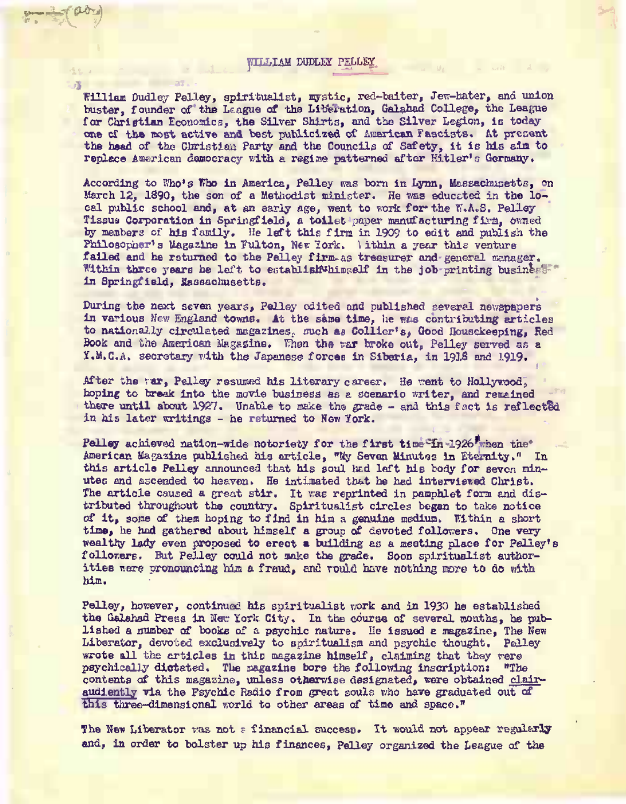#### WILLIAM DUDLEY PELLEY

....•.((>\*)

William Dudley Pelley, spiritualist, mystic, red-baiter, Jew-hater, and union buster, founder of the League of the Liberation, Galahad College, the League for Christian Economics, the Silver Shirts, and the Silver Legion, is todayone cf the most active and best publicized of American Fascists. At present the head of the Christian Party and the Councils of Safety, it is his aim to replace American democracy with a regime patterned after Hitler's Germany.

According to V/ho's Kho in America, Pelley was born in Lynn, Massachusetts, on March 12, 1890, the son of a Methodist minister. He was educated in the local public school and, at an early age, went to work for the N.A.S. Pelley Tissue Corporation in Springfield, a toilet paper manufacturing firm, owned by members of his family. He left this firm in 1909 to edit and publish the Philosopher's Magazine in Fulton, New York, lithin a year this venture failed and he returned to the Pelley firm as treasurer and general manager. Within three years he left to establish whimself in the job printing business in Springfield, Massachusetts.

Curing the next seven years, Pelley edited and published several newspapers in various Hew England towns. At the same time, he was contributing articles to nationally circulated magazines, such as Collier's, Good Housekeeping, Red Book and the American Magazine. Then the war broke out, Pelley served as a Y.M.C.A. secretary with the Japanese forces in Siberia, in 1918 and 1919.

After the var, Pelley resumed his literary career. He went to Hollywood, hoping to break into the movie business as e scenario writer, and remained there until about 1927. Unable to nake tha grade - and this fact is reflected in his later writings - he returned to New York.

Pelley achieved nation-wide notoriety for the first time in 1926 then the American Magazine published hig article , "My Seven Minutes in Eternity." In this article Pelley announced that his soul had left his body for seven minutes and ascended to heaven. He intimated that he hed interviewed Christ. The article caused a great stir. It was reprinted in pamphlet form and dis-<br>tributed throughout the country. Spiritualist circles began to take notice of it, some of them hoping to find in him a genuine medium. Within a short time, he hod gathered about himself a group of devoted followers. One very woaltfy lady even proposed to erect a building es a meeting place for Pelley's followers. But Pelley could not mate the grade. Soon spiritualist authorities were pronouncing him a fraud, and rould have nothing more to do with him.

Pelley, however, continued his spiritualist work and in 1930 he established the Galahad Press in New York City. In the course of several months, he published a number of books of a psychic nature. lie issued a magazine, The Hew Liberator, devoted exclusively to spiritualism and psychic thought. Pelley wrote all the articles in this magazine himself, claiming that they rere psychically dictated. The magazine bore the following inscription) "The contents of this magazine, unless otherwise designated, were obtained clairaudiently via the Psychic Radio from great souls who have graduated out of this three-dimensional world to other areas of time and space."

The New Liberator was not a financial success. It would not appear regularly and, In order to bolster up Ms finances, Pelley organised the League of the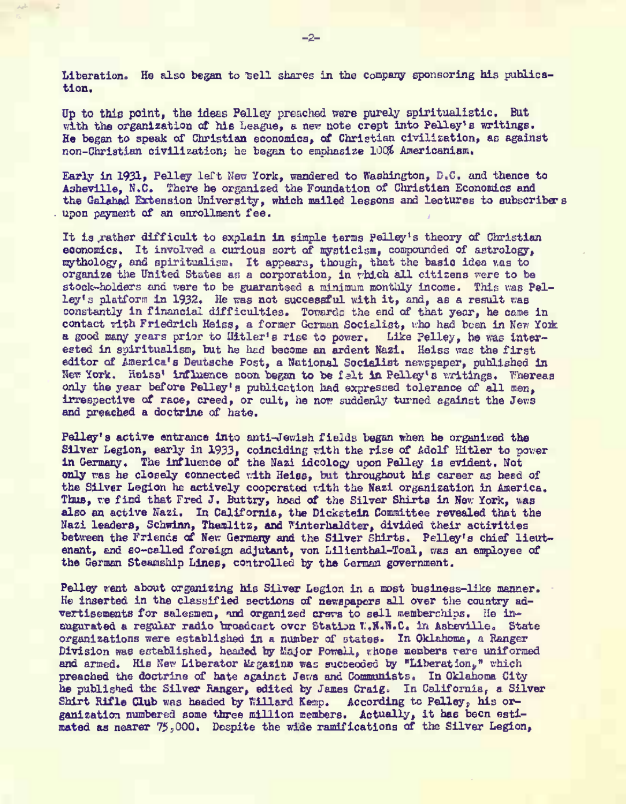Liberation. He also began to sell shares in the company sponsoring his publication.

Dp to this point, the ideas Pelley preached ware purely spiritualistic. But with the organization of his League, a new note crept into Pelley's writings. He began to speak of Christian economics, of Christian civilization, as against non-Christian civilization; he bagan to emphasize 100% Americanism.

Early in 1931? Pelley left **Rev** York, wandered to Washington, D.C, and thence to Asheville, N.C. There he organized the Foundation of Christian Economics and the Galahad Extension University, which mailed lessons and lectures to subscribers upon payment of an enrollment fee.

It is rather difficult to explain in simple terms Pelley's theory of Christian economics. It involved a curious sort of mysticism, compounded of astrology, mythology, and spiritualism. It appears, though, that the basic idea v.as to organize the United States an a corporation, in rhich all citizens were to be stock-holders and were to be guaranteed a minimum monthly income. This was Pelley's platform in 1932. He was not successful with it, and, as a result wee constantly in financial difficulties. Towards the end of that year, he came in contact rith Friedrich Heiss, a former German Socialist, who had been in New York a good many years prior to Hitler's rise to power. Like Pelley, he was interested in spiritualism, but he had become an ardent Wazi. Heiss was the first editor of America's Deutsche Post, a National Socialist newspaper, published in editor af America's Deutsche Post, a National Socialist newspaper, published in<br>New York. Heisel influence soon began to be felt in Bellegin woldings. Whenever only the year before Pelley's publication had expressed tolerance of all men, irrespective of race, creed, or cult, he now suddenly turned egainst the Jews and preached a doctrine of hate.

Pelley's active entrance into anti-Jewish fields began when he organized the Silver Legion, early in 1933, coinciding with the rise of Adolf Hitler to power in Germany. The influence of the Nazi idcology upon Pelley is evident. Not only was he closely connected with Heiss, but throughout his career as head of the Silver Legion he actively cooperated with the Nazi organization in America. Thus, we find that Fred J. Buttry, head of the Silver Shirts in New York, was also an active Nazi. In California, the Dickstein Committee revealed that the Nazi leaders, Schwinn, Themlitz, and Winterhaldter, divided their activities between the Friends of New Germany and the Silver Shirts. Pelley's chief lieutenant, end so-called foreign adjutant, von Lilienthal-Toal, was an employee of tha German Steamship Lines, controlled by the German government.

Pelley went about organizing his Silver Legion in a most business-like manner. He Inserted in the classified sections of newspapers all over the country advertisements for salesmen, ind organized crers to sell memberships, He inaugurated a regular radio broadcast over Station T.W.W.C. in Asheville. State organizations were established in a number of states. In Oklahoma, a Ranger Division was established, headed by Major Powell, whose members vere uniformed and armed. His New Liberator Magazine was succeeded by "Liberation." which preached the doctrine of hate against Jews and Communists. In Oklahoma Cityhe published the Silver Ranger, edited by James Craig. In California, a Silver Shirt Rifle Club was headed by Willard Kemp. According to Pelley, his organization numbered some three million members. Actually, it aas been estimated as nearer 75,000, Despite the wide ramifications of the Silver Legion,

 $-2-$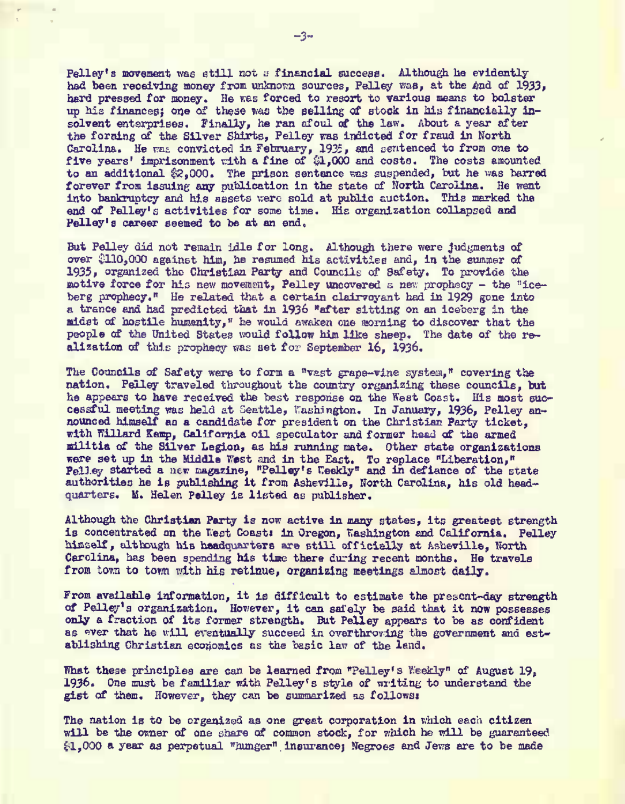Pelley's movement was etill not a financial success. Although he evidently had been receiving money from unknown sources. Felley was, at the *a*nd of 1933, hard pressed for money. He was forced to resort to various means to bolster up his finances; one of these was the selling of stock in his financially insolvent enterprises. Finally, he ran afoul of the law. About a year after the forming of the Silver Shirts, Pelley was indicted for fraud in North Carolina. He **nse** convicted in February, 1935, and sentenced to from one to five years' imprisonment with a fine of \$1,000 and costs. The costs amounted to an additional £2,000. The prison sentence was suspended. but he was barred forever from issuing any publication in the state of North Carolina. He went into bankruptcy and his assets were sold at public auction. This marked the end of Pelley's activities for some time. His organization collapsed and Pelley's career seemed to be at an end.

But Pelley did not remain idle for long. Although there were judgments of over £110,000 against him, tie resumed his activities and, in the summer of 1935, organized the Christian Party and Councils of Safety. To provide the motive force for his new movement, Pelley uncovered s new prophecy - the "iceberg prophecy," Ha related that a certain clairvoyant had in 1929 gone into a trance and had predicted that In 1936 "after sitting on an iceberg in the aidst of hostile humanity," he would awaken one morning to discover that the people of the United States would follow him like sheep. The date of the realization of this prophecy was set for September 16, 1936,

The Councils of Safety were to form a "vast grape-vine system," covering the nation. Pelley traveled throughout the country organizing these councils, but he appears to have received the bast response on the West Coast, His most successful meeting was held at Seattle, Washington. In January, 1936, Pelley announced himself an a candidate for president on the Christian Part? ticket, with Willard Kemp, California oil speculator and former head of the armed militia of the Silver Legion, es his running mate. Other state organizations exercise to the Middle West and in the East. To replace "Liberation,"<br>Failey started a new magazine, "Polley's Realty and in defiance of the state<br>authorities he is sublishing it from Ashevilla, North Carolina, his old hea quarters. M. Helen Pelley is listed as publisher.

Although the Christian Party is now active in many states, its greatest strength is concentrated on the Nest Coast: in Oregon, Washington and California. Pelley himself, although his headquarters are still officially at Asheville, North Carolina, hac been spending his time there during recent months. He travels from town to town with his retinue, organizing meetings almost daily.

From available information, it is difficult to estimate the present-day strength of Peliey's organisation. However, it can safely be said that it now possesses only a fraction of its former strength- But Pelley appears to be as confident as ever that he will eventually succeed in overthroving the government and establishing Christian economics as the basic law of the lend.

What these principles are can be learned from "Pelley's Weekly" of August 19, 1936. One must be familiar with Pelley's style of writing to understand the gist of them. However, they can be summarized as follows:

The nation is to be organized as one great corporation in which each citizen will be the owner of one share of common stock, for which he will be guaranteed £1,000 a year as perpetual "hunger" insurance! Negroes and Jens are to be made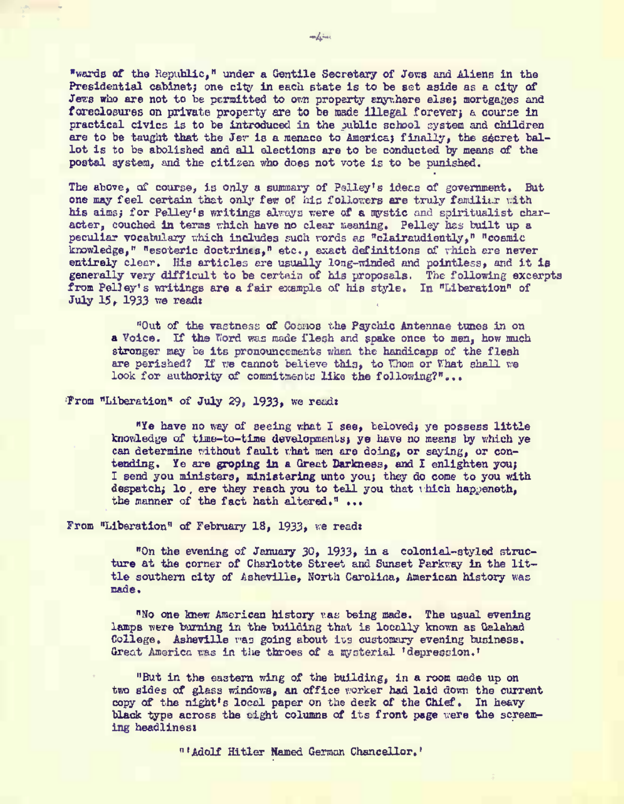"wards of the Republic," under a Gentile Secretary of Jews and Aliens in the Presidential cabinet; one city in each state is to be set aside as a city of Jezs who are not to be parmitted to own property enythere else; mortgages and foreclosures on private property are to be made illegal forever; a course in practical civics is to be introduced in the sublic school system and children are to be taught that the Jew is a menace to America; finally, the secret ballot is to be abolished and all elections are to be conducted by means of the postal system, and the citizen who does not vote is to be punished.

The above, of course, is only a summary of Pelley's idens of government. But one may feel certain that only few of his followers are truly familiar with his aims; for Pellev's writings always were of a mystic and spiritualist character, couched in terms which have no clear meaning. Pelley has built up a peculiar vocabulary which includes such words as "clairaudiently." "cosmic knowledge," "esoteric doctrines," etc., exact definitions of which are never entirely clear. His articles are usually long-winded and pointless, and it is generally very difficult to be certain of his proposals. The following excerpts from Pelley's writings are a fair example of his style. In "Liberation" of July 15, 1933 we read:

"Out of the vactness of Cosmos the Psychic Antennae tunes in on a Voice. If the Word was made flesh and spake once to men, how much stronger may be its pronouncements when the handicaps of the flesh are perished? If we cannot believe this, to Whom or What shall we look for authority of commitments like the following?"...

## From "Liberation" of July 29, 1933, we read:

"Ye have no way of seeing what I see, beloved; ye possess little knowledge of time-to-time developments; ye have no means by which ye can determine without fault that men are doing, or saying, or contending. Ye are groping in a Great Darkness, and I enlighten you; I send you ministers, ministering unto you; they do come to you with despatch; lo, ere they reach you to tell you that thich happeneth, the manner of the fact hath altered." ...

# From "Liberation" of February 18, 1933, we read:

"On the evening of January 30, 1933, in a colonial-styled structure at the corner of Charlotte Street and Sunset Parkway in the little southern city of Asheville, North Carolina, American history was made.

"No one knew American history was being made. The usual evening lamps were burning in the building that is locally known as Gelehad College. Asheville was going about its customary evening business. Great America was in the throes of a mysterial 'depression.'

"But in the eastern wing of the building, in a room made up on two sides of glass windows, an office worker had laid down the current copy of the night's local paper on the deck of the Chief. In heavy black type across the cight columns of its front page were the screening headlinest

"'Molf Hitler Named German Chancellor.'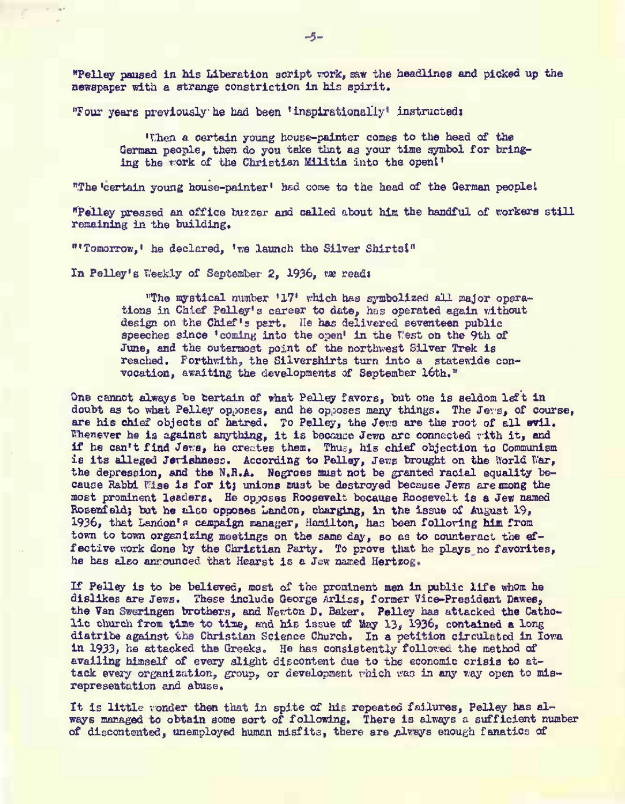"Pelley paused in his Liberation script rork, saw tlie headlines and picked up the newspaper with a strange constriction in his spirit .

Tour years previously lie had been 'insplrstionally' instructed)

'Then a certain young house-painter comes to the head of the German people, then do you take that as your tine symbol for bringing the fork of the Christian Militia into the opent'

"The 'certain young house-painter' had come to the head of the German people!

"Pelley pressed an office buzzer and called about him the handful of workers stil l remaining in the building,

"'Tomorrow,' he declared, 'we launch the Silver Shirts!"

In Pelley's Weekly of September 2, 1936, we read:

"The mystical number '17' vhich has symbolized all najor operations in Chief Palley's career to date, has operated again without design on the Chief's pert. He has delivered seventeen public speeches since 'coming into the open' in the West on the 9th of June, and the outermost point of the northwest Silver Trek is reached. Forthwith, the Silvershirts turn into a statewide convocation, awaiting the developments of September 16th."

One cannot always be certain of what Pelley favors, but one is seldom left in doubt as to what Pelley op.wses, and he opposes many things. The Je\*s,* of course, are his chief objects of hatred. To Pelley, the Jews are the root of all evil. Thenever he is against anything, it is because Jews arc connected rith it, and if he can't find Jeivs, he creates them. Thus, his chief objection to Communism is its alleged Jerishness. According to Pelley, Jews brought on the Norld War, the depression, and the H.R.A. Negroes must not be granted racial equality because Rabbi Wise is for it; unions must be destroyed because Jews are mong the most prominent leaders. He opposes Roosevelt because Roosevelt is a Jew named Rosenfeld; but he also opposes Landon, charging, in the issue of August 19, 1936, that Lanaon'p campaign manager, Hamilton, has been following him from town to tovm organizing meetings on the same day, so as to counteract the effective work done by the Christian Party. To prove that he plays no favorites, he has also anrounced that Hearst is a Jew named Hertsog.

If Pelley is to be believed, most of the proninent men in public life whom he dislikes are Jews. These include George Arliss, former Vice-President Dawes, the Van Sweringen brothers, and Newton D. Baker. Pelley has attacked the Catholie church from time to time, and his issue of May 13, 1936, contained a long diatribe against one Christian Science Church. In a petition circulated in Iowa in 1933, he attacked the Greeks. He has consistently followed the method of availing himself of every alight discontent due to the economic crisis to atweaking mission of every single upcontent was to the economic crisis to aurepresentation and abuse.

It is little vonder then that in spite of his repeated failures, Pelley has always managed to obtain some sort of following. There is always a sufficient number of discontented, unemployed human misfits, there are always enough fanatics of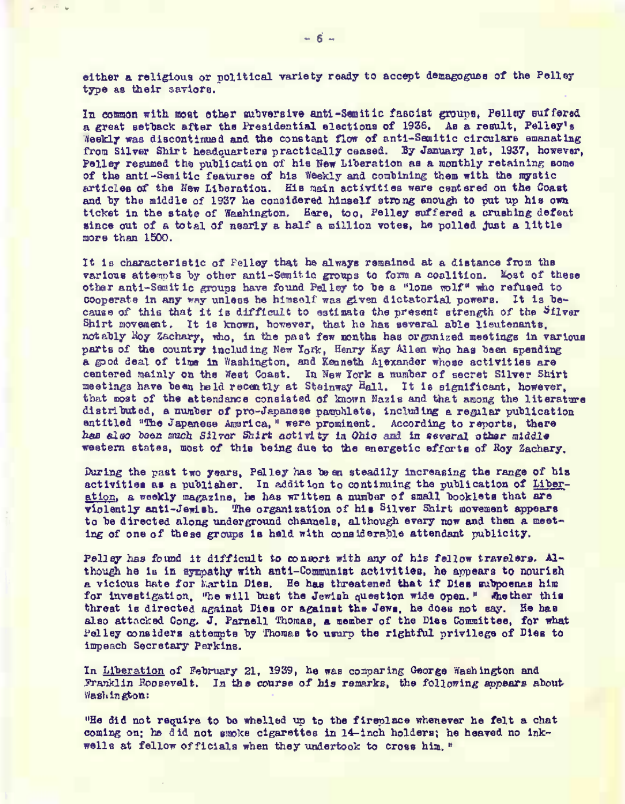either a religious or political variety ready to accept demagogues of the Pelley type as their saviors.

In common with most sther subversive anti-Samitic fascist groups. Pelley suffered a great setback after the Presidential elections of 1936. As a result. Pelley's Weekly was discontinued and the constant flow of anti-Semitic circulars emanating from Silver Shirt headquarters practically ceased. By January 1st. 1937, however, Pelley resumed the publication of his New Liberation as a monthly retaining some of the anti-Senitic features of his Weekly and combining them with the mystic articles of the New Liberation. His main activities were centered on the Coast and by the middle of 1937 he considered himself strong enough to put up his own ticket in the state of Weshington. Hare, too, Felley suffered a crushing defeat since out of a total of nearly a half a million votes, he polled just a little more than 1500.

It is characteristic of Felley that he always remained at a distance from the various attempts by other anti-Semitic groups to form a coalition. Most of these other anti-Semitic groups have found Pelley to be a "lone wolf" who refused to cooperate in any way unless he himself was given dictatorial powers. It is because of this that it is difficult to estimate the present strength of the Silver Shirt movement. It is known, however, that he has several able lieutenants. notably Moy Zachary, who, in the past few months has organized meetings in various parts of the country including New York. Henry Kay Allen who has been spending a good deal of time in Washington, and Kenneth Alexander whose activities are centered mainly on the West Coast. In New York a number of secret Silver Shirt meetings have been held recently at Steinway Hall. It is eignificant, however, that most of the attendance consisted of known Nazis and that among the literature distributed, a number of pro-Japanese parchlets, including a regular publication entitled "The Japanese America, " were prominent. According to reports, there has also been much Silver Shirt activity in Ohio and in several other middle western states, most of this being due to the energetic efforts of Roy Zachary.

During the past two years, Pelley has been steadily increasing the range of his activities as a publisher. In addition to continuing the publication of Liberation, a weekly magazine, he has written a number of small booklets that are violently anti-Jewish. The organization of his Silver Shirt movement appears to be directed along underground channels, although every now and then a meeting of one of these groups is held with considerable attendant publicity.

Pelley has found it difficult to consort with any of his fellow travelers. Although he is in sympathy with anti-Communist activities, he appears to nourish a vicious hate for hartin Dies. He has threatened that if Dies subpoemas him for investigation, "he will bust the Jewish question wide open." Another this threat is directed against Dies or against the Jews, he does not say. He has also attacked Cong. J. Parnell Thomas, a member of the Dies Committee, for what Pelley considers attempts by Thomas to usurp the rightful privilege of Dies to impeach Secretary Perkins.

In Liberation of February 21, 1939, he was comparing George Washington and Franklin Roosevelt. In the course of his remarks, the following appears about Washington:

"He did not recuire to be whelled up to the fireplace whenever he felt a chat coming on, he did not smoke cigarettes in 14-inch holders; he heaved no inkwells at fellow officials when they undertook to cross him."

 $200 - 120$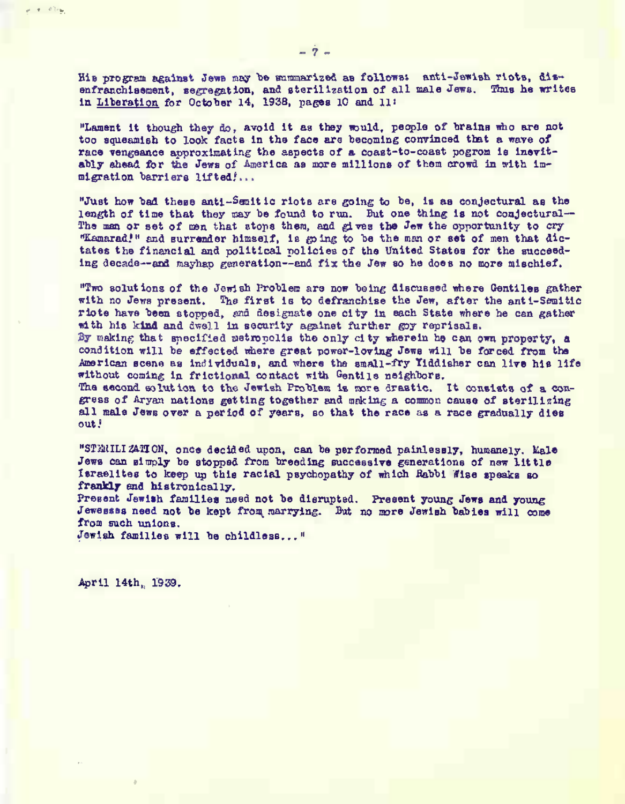His program against Jews may be summarized as follows: anti-Jewish riots, disenfranchisement, segregation, and sterilization of all male Jews. Thus he writes in Lite ration for October 14, 1938, pages 10 and lit

"Lament it though they do, avoid It as they nould, people of brainn mho are not too squeamish to look facts in the face are becoming convinced that a wave of race vengeance approximating the aspects of a coast-to-coast pogrom is inevitably ahead for the Jews of America as more millions of them crowd in with immigration barriers lifted!...

"Just how tiad these antl-Sanitic rlotB are going to he, is aa conjectural as the length of time that they may be found to run. But one thing is not conjectural-The man or set of men that stops them, and gives the Jew the coportunity to cry "Kamarad!" and surrender himself, is going to be the man or set of men that dictates the financial and political policies of the United States for the succeeding decade-and mayhap generation--and fix the Jew so he does no more mischief.

"Two solutions of the Jewish 1'roblem ara now being discussed where Oentiles gather with no Jews present. The first is to defranchlae the Jew, after the anti-Semitic ricte have been stormed, and designate one city in each State where he can gather with his kind and dwell in security against further goy reprisals. By making that smecified metropolis the only city wherein he can own property, a

condition will be effected nhere great power-loving Jews will be forced from the American scene as individuals, and where the small-fry Yiddisher can live his life without coming in frictional contact with Gentile neighbors.

The second solution to the Jewish Problem is more drastic. It consists of a congress of Aryan nations getting together and making a common cause of sterilizing all mala Jewe over a period of years, so that the race as a race gradually dies out.<sup>1</sup>

"STANILIZATION, once decided upon, can be performed painlessly, humanely. Kale Jews can simply be stopped from breeding successive generations of new little Israelites to keep up this racial psychopathy of which Rabbi fise speaks so frankly and histronically.

Present Jewish families need not be disrupted. Present young Jews and young Jewessss need not be kept from marrying. But no more Jewish babies will come from such unions.

Jewish families will be childless... "

April 14th, 1939.

 $x = 12x$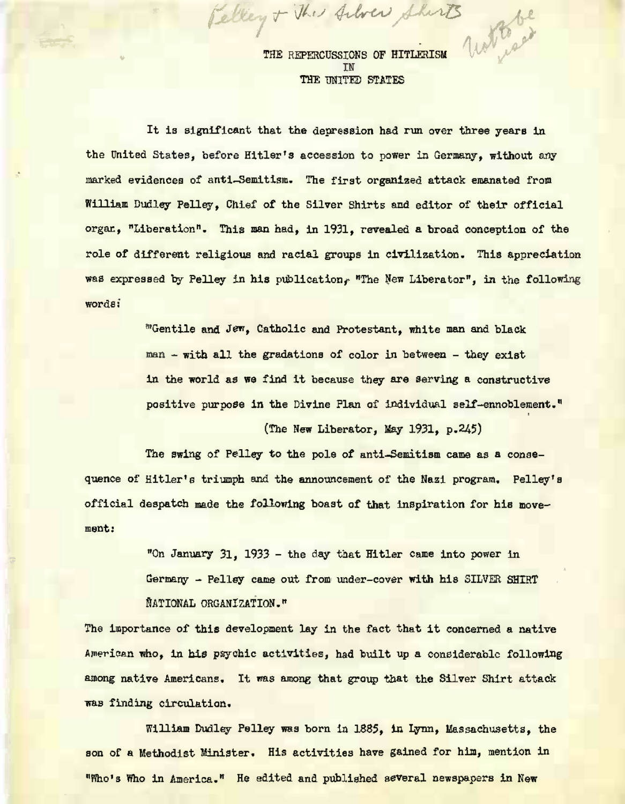THE REPERCUSSIONS OF HITLERISM<br>IN THE UNITED STATES

*f Jhe Alver Shorts* A

It is significant that the depression had run over three years in the United States, before Hitler's accession to power in Germany, without any marked evidences of anti-Semitism. The first organized attack emanated from William Dudley Felley, Chief of the Silver Shirts and editor of their official organ, "Liberation". This man had, in 1931, revealed a broad conception of the role of different religious and racial groups in civilization. This appreciation was expressed by Pelley in his publication. "The New Liberator", in the following words:

> "Gentile and Jen, Catholic and Protestant, white man and black man - with all the gradations of color in between - they exist in the world as we find it because they are serving a constructive positive purpose in the Divine Plan of Individual self-ennoblement."

> > (The New Liberator, May 1931, p.245)

The swing of Pelley to the pole of anti-Semitism came as a conaequence of Hitler's triumph and the announcement of the Nazi program. Pelley's official despatch made the following boast of that inspiration for his movement:

> "On January 31, 1933 - the day that Hitler came into power in Germany - Pelley came out from under-cover with his SILVER SHIRT NATIONAL ORGANIZATION."

The importance of this development lay in the fact that it concerned a native American who, in his psychic activities, had built up a considerable following among native Americans. It was among that group that the Silver Shirt attack was finding circulation.

William Dudley Pelley was born la 1835, in Lynn, Massachusetts, the son of a Methodist Minister. His activities have gained for him, mention in "Who's Who in America." He edited and published several newspapers in New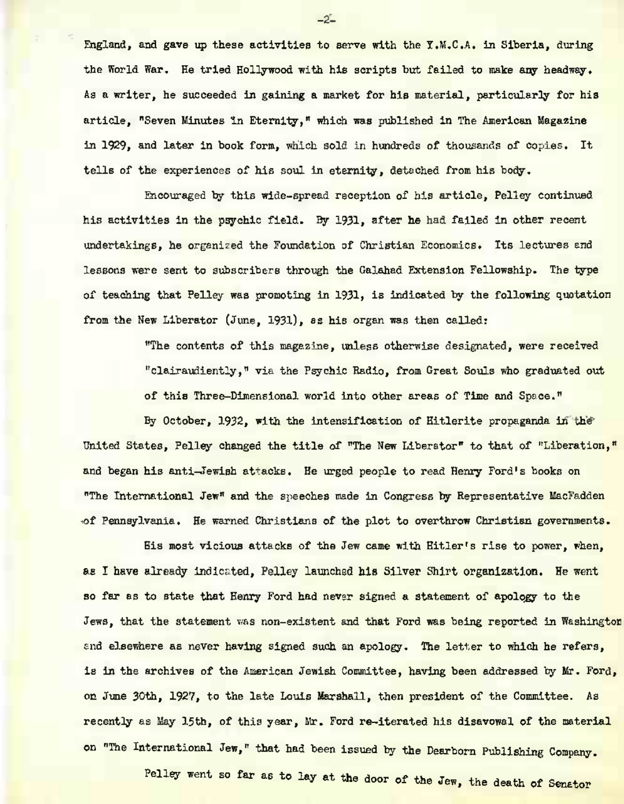England, and gave up these activities to serve with the Y.M.C.A. in Siberia, during the World War. He tried Hollywood with his scripts but failed to make any headway. As a writer, he succeeded in gaining a market for his material, particularly for his article, "Seven Minutes in Eternity," which mas published in The American Magazine in 1929, and later in book form, which sola in hundreds of thousands of copies. It tells of the experiences of his soul in eternity, detached from his body.

Encouraged by this wide-spread reception of his article, Pelley continued his activities in the psychic field. By 1931, after he had failed in other recent undertakings, he organized the Foundation of Christian Economics. Its lectures end lessons were sent to subscribers through the Galahad Extension Fellowship. The type of teaching that Pelley was promoting in 1931, is indicated by the following quotation from the New Liberator (June, 1931), as his organ was then called:

> "The contents of this magazine, unless otherwise designated, were received "clairaudiently," via the Psychic Radio, from Great Souls who graduated out of this Three-Dimensional world into other areas of Time and Space."

By October, 1932, with the intensification of Hitlerite propaganda in **the** United States, Pelley changed the title of "The New Liberator" to that of "Liberation," and began his anti-Jewish attacks. He urged people to read Henry Ford's books on "The International Jew" and the speeches made in Congress by Representative MacFadden of Pennsylvania. He warned Christiana of the plot to overthrow Christian governments.

His most vicious attacks of the Jew came with Hitler's rise to power, when, as I have already indicated. Pelley launched his Silver Shirt organization. He went so far as to state that Henry Ford had never signed a statement of apology to the Jews, that the statement was non-existent and that Ford was being reported in Washington and elsewhere as never having signed such an apology. The letter to which he refers, is in the archives of the American Jewish Committee, having been addressed by Mr. Ford, on June 30th, 1927, to the late Louis Marshall, then president of the Committee. As recently as May 15th, of this year, Mr. Ford re-iterated his disavowal of the material on "The International Jew," that had been issued by the Dearborn Publishing Company.

Pelley went so far as to lay at the door of the Jew, the death of Senator

 $-2 -$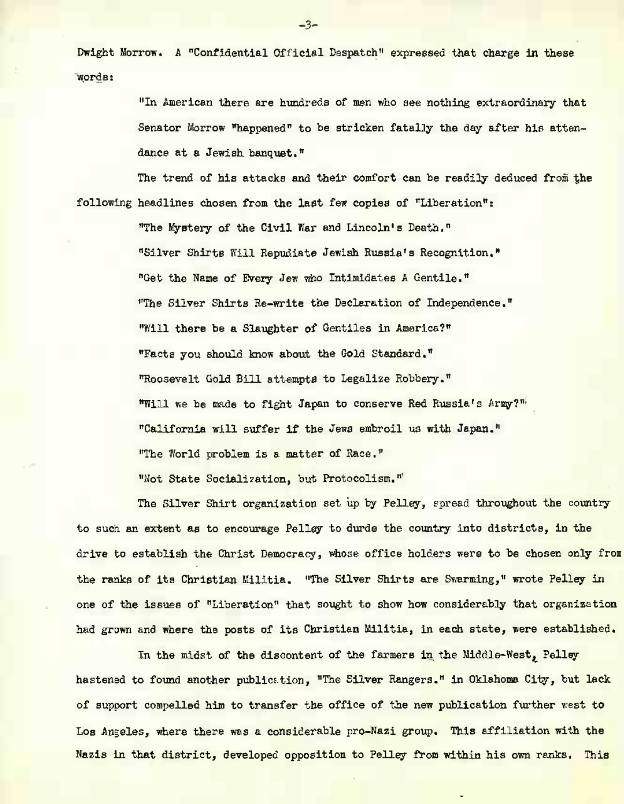Dwight Morrow. A "Confidential Official Despatch" expressed that charge in these words:

> "In American there are hundreds of men who see nothing extraordinary that Senator Morrow "happened" to be stricken fatally the day after his attendance at a Jewish banquet."

The trend of his attacks and their comfort can be readily deduced from the following headlines chosen from the last few copies of "Liberation"!

> "The Mystery of the Civil War and Lincoln's Death." "Silver Shirts Kill Repudiate Jewish Russia's Recognition." "Get the Name of Every Jew who Intimidates *A* Gentile." "The Silver Shirts Re-write the Declaration of Independence." "Will there be a Slaughter of Gentiles in America?" "Facts you should know about the Gold Standard." "Roosevelt Gold Bill attempte to Legalize Robbery." '"Will we be made to fight Japan to conserve Red Russia's Arny?" "California will suffer if the Jena embroil us with Japan." "The World problem is a matter of Race." "Hot State Socialization, but Protocolism."

The Silver Shirt organization set up by Pelley, spread throughout the country to such an extent as to encourage Pelley to durde the country into districts, in the drive to establish the Christ Democracy, whose office holders were to be chosen only from the ranks of its Christian Militia. "The Silver Shirts are Swarming," wrote Pelley in one of the issues of "Liberation" that sought to show how considerably that organization had grown and where the posts of its Christian Militia, in each state, were established.

In the midst of the discontent of the farmers In the Middle West, Pelley hastened to found another publication, "The Silver Rangers." in Oklahoma City, but lack of support compelled hio to transfer the office of the new publication further west to Los Angeles, where there was a considerable pro-Nazi group. This affiliation with the Nazis In that district, developed opposition to Pelley from within his own ranks. This

 $-3-$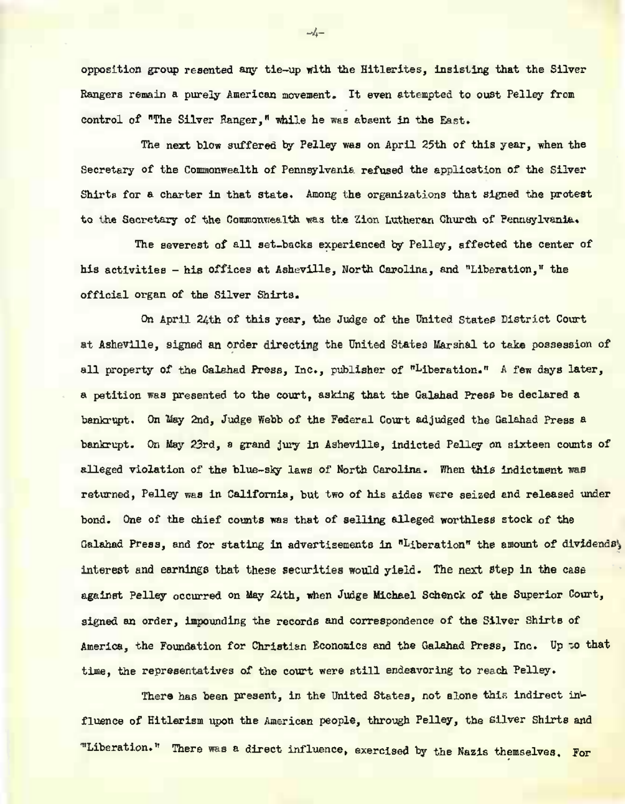opposition group resented any tie-up with the Hitlerites, insisting that the Silver Rangers remain a purely American movement. It even attempted to oust Pelley from Control of "The Silver Hanger," while he was absent in the East.

The next blow suffered by Pelley was on April 25th of this year, when the Secretary of the Commonwealth of Pennsylvania refused the application of the Silver Shirts for a charter in that state. Among the organizations that signed the protest to the Secretary of the Commonwealth was the Zion Lutheran Church of Pennsylvania,

The severest of all set-backs experienced by Pelley, affected the center of his activities - his offices at Asheville, Horth Carolina, and "Liberation," the official organ of the Silver Shirts.

On April 24th of this year, the Judge of the United States District Court at Asheville, signed an order directing the United States Marshal to take possession of all property of the Galahad Press, Inc., publisher of "Liberation." A few days later, *B.* petition was presented to the court, asking that the Galahad Press be declared a bankrupt. On May 2nd, Judge Webb of the Federal Court adjudged the Galahad Press a bankrupt. On May 23rd, *a* grand jury in Asheville, indicted Pelley on sixteen counts of alleged violation of the blue-sky laws of North Carolina. When this indictment was returned, Pelley was in California, but two of his aides were seized and released under bond. One of the chief counts waa that of selling alleged worthless stock of the Galahad Press, and for stating in advertisements in "Liberation" the amount of dividends, interest and earnings that these securities would yield. The next Step in the case against Pelley occurred on May 24th, when Judge Michael Schenck of the Superior Court, signed an order, impounding the records and correspondence of the Silver Shirts of America, the Foundation for Christian Economics and the Galahad Press, Inc. Up to that time, the representatives of the court were still endeavoring to reach Pelley.

There has been present, In the United States, not alone this indirect influence of Hitlerism upon the American people, through Pelley, the Silver Shirts and "Liberation." There was a direct influence, exercised by the Nazis themselves. For

*-h-*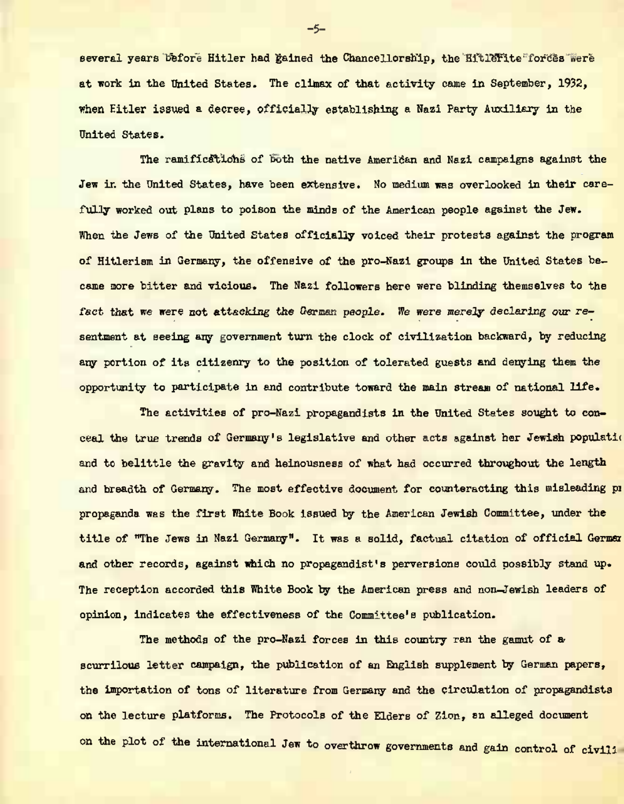several years before Hitler had gained the Chancellorship, the Hitlerite forces were at work in the United States. The cliaax of that activity came in September, 1932, When Hitler issued a decree, officially establishing a Nazi Party Auxiliary *in* the United States.

The ramifications of both the native American and Nazi campaigns against the Jew in the United States, have been extensive. No medium was overlooked in their carefully worked out plans to poison the minds of the American people against the Jen. When the Jews of the United States officially voiced their protests against the program of HItlerism in Germany, the offensive of the pro-Nazi groups in the United States became nore bitter and vicious. The Nazi followers here were blinding themselves to the fact that we were not attacking the German people. We were merely declaring our resentment at seeing any government turn the clock of civilization backward, by reducing any portion of its citizenry to the position of tolerated guests and denying them the opportunity to participate in and contribute toward the main stream of national life .

The activities of pro-Nazi propagandists in the United States sought to conceal the true trends of Germany's legislative and other acts against her Jewish populstio and to belittle the gravity and helnousness of what had occurred throughout the length and breadth of Germany. The most effective document for counteracting this misleading pr propaganda was the first White Book Issued by the American Jewish Committee, under the title of "The Jews in Nazi Germany". It was a solid, factual citation of official German and other records, against which no propagandist's perversions could possibly stand up. The reception accorded this White Book by the American press and non-Jewish leaders of opinion, indicates the effectiveness of the Committee's publication.

The methods of the pro-Mazi forces in this country ran the gamut of a scurrilous letter campaign, the publication of an English supplement by German papers, the importation of tons of literature from Germany and the circulation of propagandists on the lecture platforms. The Protocols of the Elders of Zion, sn alleged document on the plot of the international Jew to overthrow governments and gain control of civili

 $-5-$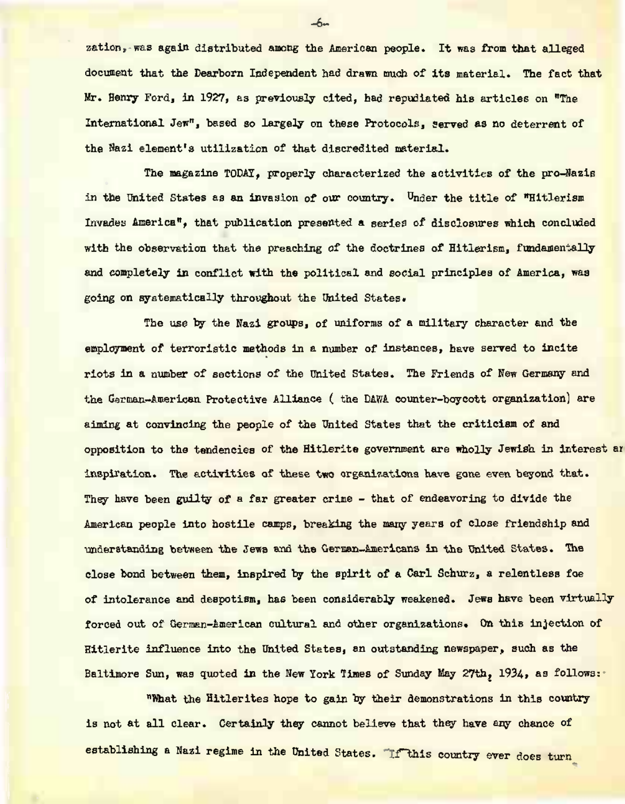zation, was again distributed among the American people. It was from that alleged document that the Dearborn Independent had drawn much of its materiel. The fact that Mr. Henry Ford, in 1927, as previously cited, had repudiated his articles on "The International Jew", based so largely on these Protocols, served as no deterrent of the Sazi element's utilization of that discredited material.

The magazine TODAY, properly characterized the activities of the pro-Wazis in the United States as an invasion of our country. Under the title of "Hitlerism" Invades America", that publication presented a series of disclosures which concluded with the observation that the preaching of the doctrines of Hitlerism, fundamentally and completely in conflict with the political and social principles of America, was going on systematically throughout the United States.

The use by the Nazi groups, of uniforms of a military character and the employment of terroristic methods in a number of instances, have served to incite riots in a number of sections of the United States. The Friends of Hew Germany and the German-American Protective Alliance ( the DABA counter-boycott organization) are aiming at convincing the people of the United States that the criticism of and opposition to the tendencies of the Hitlerite government are wholly Jewish in interest ar inspiration. The activities of these two organizations have gone even beyond that. They have been guilty of a far greater crime - that of endeavoring to divide the American people into hostile camps, breaking the many years of close friendship and understanding between the Jews and the German-Americans in the United States. The close bond between them, inspired by the spirit of a Carl Schurz, a relentless foe of intolerance and despotism, has been considerably weakened. Jews have been virtually forced out of German-American cultural and other organizations. On this injection of Hitlerite influence into the United States, an outstanding newspaper, such as the Baltimore Sun, was quoted in the Mem York Tines of Sunday May 27th, 1934, as follows:

"What the Hitlerites hope to gain by their demonstrations in this country is not at all clear. Certainly *they* cannot believe that they have any chance of establishing a Mazi regime in the United States. If this country ever does turn

 $\sim$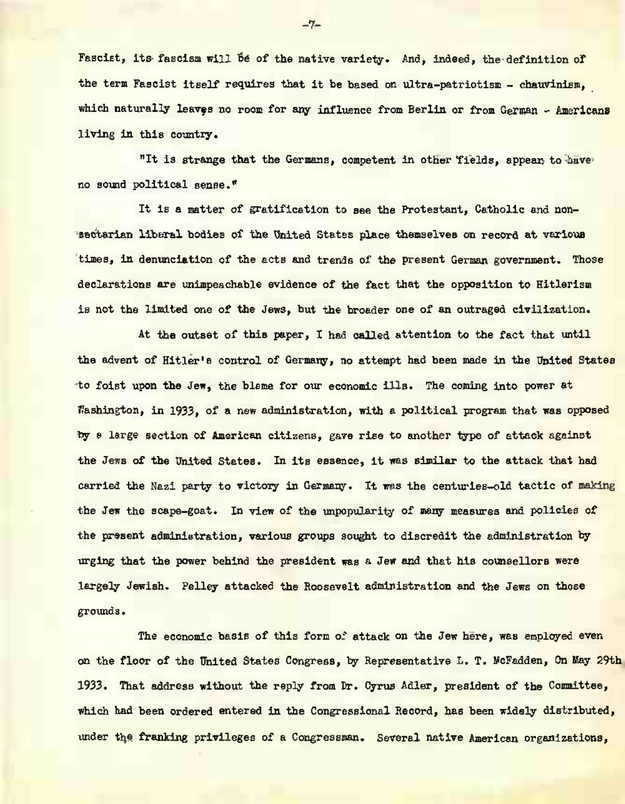Fascist, its fascism will be of the native variety. And, indeed, the definition of the term Fascist itself requires that it be based on ultra-patriotism - chauvinism. which naturally leaves no room for any influence from Berlin or from German - Americans living in this country.

"It is strange that the Germans, competent in other fields, appear to have no sound political sense."

It is a matter of gratification to see the Protestant, Catholic and nonsectarian liberal bodies of the United States place themselves on record at various times, in denunciation of the acts and trends of the present German government. Those declarations are unimpeachable evidence of the fact that the opposition to Hitlerism is not the limited one of the Jews, but the broader one of an outraged civilization.

At the outset of this paper, I had called attention to the fact that until the advent of Hitler's control of Germany, no attempt had been made in the United States to foist upon the Jew, the blame for our economic ills. The coming into power at Washington, in 1933, of a new administration, with a political program that was opposed py a large section of American citizens, gave rise to another type of attack against the Jews of the United States. In its essence, it was similar to the attack that had carried the Nazi party to victory in Germany. It was the centuries-old tactic of making the Jew the scape-goat. In view of the unpopularity of many measures and policies of the present administration, various groups sought to discredit the administration by urging that the power behind the president was a Jevr and that his counsellors were largely Jewish. Pelley attacked the Roosevelt administration and the Jews on those grounds.

The economic basis of this form of attack on the Jew here, was employed even on the floor of the United States Congress, by Representative L. T. McFadden, On May 29th 1933. That address without the reply from Dr. Cyrus Adler, president of the Committee, which had been ordered entered in the Congressional Record, has been widely distributed, under the franking privileges of a Congressman. Several native American organizations,

**-7-**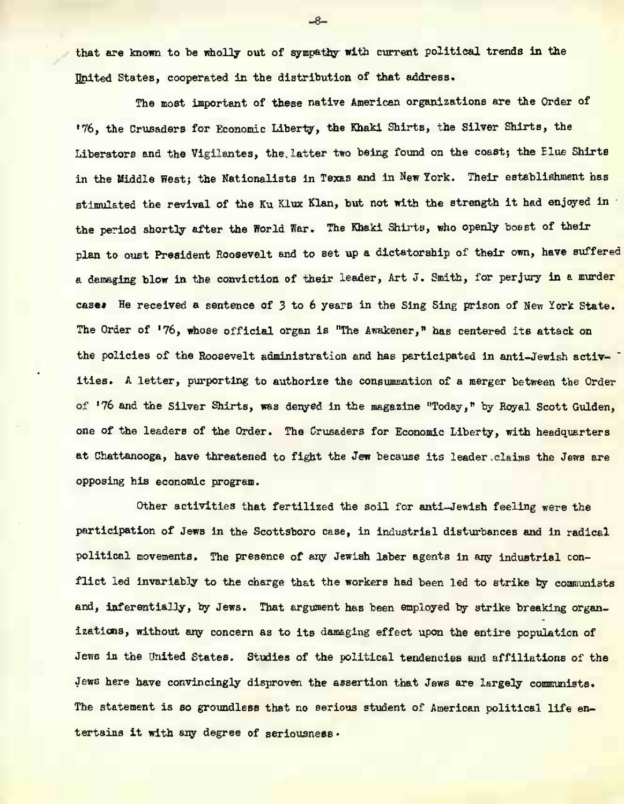that are known to be wholly out of sympathy with current political trends in the United States, cooperated in the distribution of that address.

The most important of these native American organizations are the Order of •76, the Crusaders for Economic Liberty, the Khaki Shirts, the Silver Shirts, the Liberators and the Vigilantes, the latter two being found on the coast; the Elue Shirts in the Middle West; the Nationalists in Texas and in New York. Their establishment has stimulated the revival of the Ku Klux Klan, but not with the strength it had enjoyed In the period shortly after the World War. The Khaki Shirts, who openly boast of their plan to oust President Roosevelt and to set up a dictatorship of their own, have suffered a damaging blow in the conviction of their leader, Art J. Smith, for perjury in a murder cases He received a sentence of 3 to 6 years in the Sing Sing prison of New York State. The Order of '76, whose official organ is "The Awakener," has centered its attack on the policies of the Roosevelt administration and has participated in anti-Jewish activities. A letter, purporting to authorize the consummation of a merger between the Order of '76 and the Silver Shirts, was denyed in the magazine "Today," by Royal Scott Gulden, one of the leaders of the Order. The Crusaders for Economic Liberty, with headquarters at Chattanooga, have threatened to fight the Jew because Its leader claims the Jews are opposing his economic program.

Other activities that fertilized the soil for anti—Jewish feeling were the participation of Jews in the Scottsboro case, in industrial disturbances and in radical political movements. The presence of any Jewish laber agents in any industrial conflict led invariably to the charge that the workers had been led to strike by coamunists and, inferentially, by Jews. That argument has been employed by strike breaking organizations, without any concern as to its damaging effect upon the entire population of Jewe in the United States. Studies of the political tendencies and affiliations of the Jews here have convincingly disproven the assertion that Jews are largely communists. The statement is so groundless that no serious student of American political life entertains it with any degree of seriousness •

 $-8-$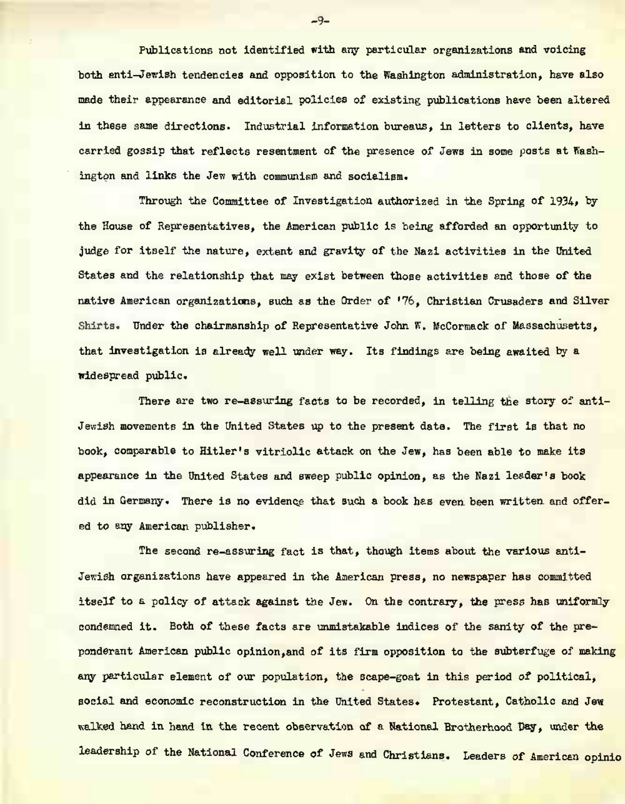Publications not identified with any particular organizations and voicing both anti-Jewish tendencies and opposition to the Washington administration, have also made their appearance and editorial policies of existing publications have been altered in these same directions. Industrial information bureaus, in letters to clients, have carried gossip that reflects resentment of the presence of Jews in some posts at Washington and links the Jem with communisp and socialism.

Through the Committee of Investigation authorized in the Spring of 1934, by the House of Representatives, the American public is being afforded an opportunity to judge for itself the nature, extent and gravity of the Nazi activities in the United States and the relationship that may exist between those activities and those of the native American organizations, such as the Order of '76, Christian Crusaders and Silver Shirts. Under the chairmanship of Representative John K. McCormack of Massachusetts, that Investigation ia already well under way. Its findings are being awaited by a widespread public.

There are two re-assuring facts to be recorded, in telling the story of anti-Jewish movements in the United States up to the present date. The first is that no book, comparable to Hitler's vitriolic attack on the Jew, has been able to make its appearance in the United States and sweep public opinion, as the Nazi leader's book did In Germany. There is no evidence that such a book has even been written and offered to any American publisher.

The second re-assuring fact is that, though items about the various anti-Jewish organizations have appeared in the American press, no newspaper has committed itself to a policy of attack against the Jew. On the contrary, the wress has uniformly condemned it. Both of these facts are unmistakable indices of the sanity of the preponderant American public opinion,and of its firm opposition to the subterfuge of making any particular element of our population, the scape-goat in this period of political, social and economic reconstruction in the United States. Protestant, Catholic and Jew walked hand in hand In the recent observation of a National Brotherhood Day, under the leadership of the National Conference of Jews and Christians. Leaders of American opinio

 $-9-$